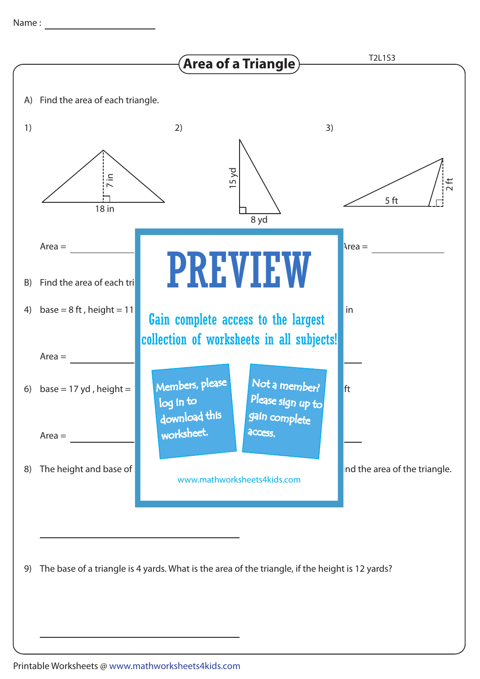